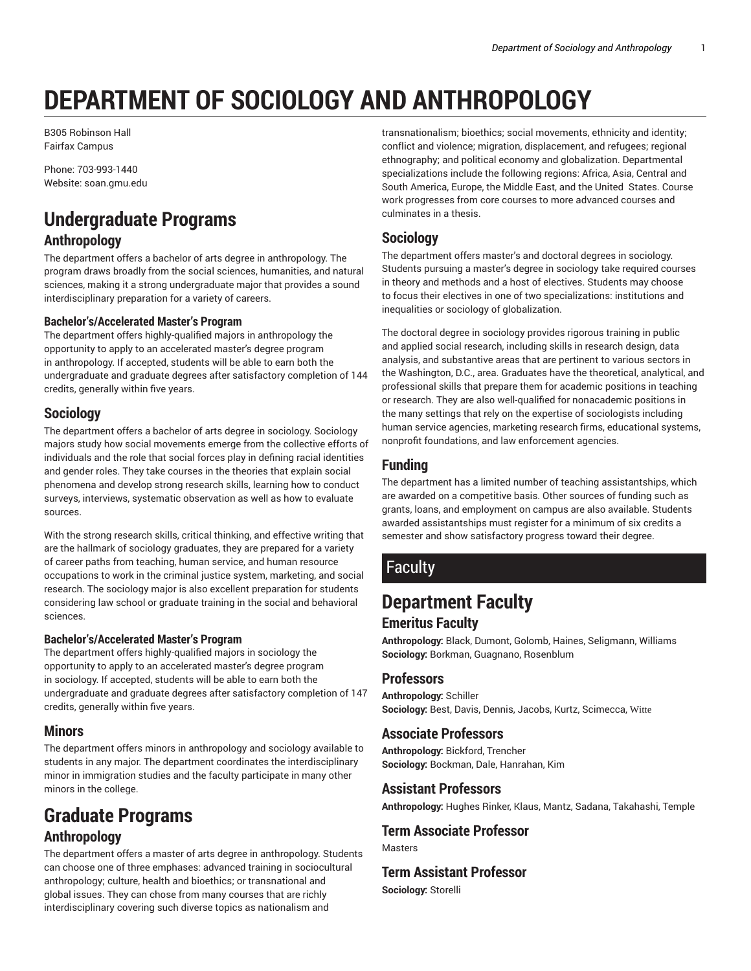## **DEPARTMENT OF SOCIOLOGY AND ANTHROPOLOGY**

B305 Robinson Hall Fairfax Campus

Phone: 703-993-1440 Website: soan.gmu.edu

# **Undergraduate Programs**

**Anthropology**

The department offers a bachelor of arts degree in anthropology. The program draws broadly from the social sciences, humanities, and natural sciences, making it a strong undergraduate major that provides a sound interdisciplinary preparation for a variety of careers.

#### **Bachelor's/Accelerated Master's Program**

The department offers highly-qualified majors in anthropology the opportunity to apply to an accelerated master's degree program in anthropology. If accepted, students will be able to earn both the undergraduate and graduate degrees after satisfactory completion of 144 credits, generally within five years.

#### **Sociology**

The department offers a bachelor of arts degree in sociology. Sociology majors study how social movements emerge from the collective efforts of individuals and the role that social forces play in defining racial identities and gender roles. They take courses in the theories that explain social phenomena and develop strong research skills, learning how to conduct surveys, interviews, systematic observation as well as how to evaluate sources.

With the strong research skills, critical thinking, and effective writing that are the hallmark of sociology graduates, they are prepared for a variety of career paths from teaching, human service, and human resource occupations to work in the criminal justice system, marketing, and social research. The sociology major is also excellent preparation for students considering law school or graduate training in the social and behavioral sciences.

#### **Bachelor's/Accelerated Master's Program**

The department offers highly-qualified majors in sociology the opportunity to apply to an accelerated master's degree program in sociology. If accepted, students will be able to earn both the undergraduate and graduate degrees after satisfactory completion of 147 credits, generally within five years.

#### **Minors**

The department offers minors in anthropology and sociology available to students in any major. The department coordinates the interdisciplinary minor in immigration studies and the faculty participate in many other minors in the college.

## **Graduate Programs Anthropology**

The department offers a master of arts degree in anthropology. Students can choose one of three emphases: advanced training in sociocultural anthropology; culture, health and bioethics; or transnational and global issues. They can chose from many courses that are richly interdisciplinary covering such diverse topics as nationalism and

transnationalism; bioethics; social movements, ethnicity and identity; conflict and violence; migration, displacement, and refugees; regional ethnography; and political economy and globalization. Departmental specializations include the following regions: Africa, Asia, Central and South America, Europe, the Middle East, and the United States. Course work progresses from core courses to more advanced courses and culminates in a thesis.

#### **Sociology**

The department offers master's and doctoral degrees in sociology. Students pursuing a master's degree in sociology take required courses in theory and methods and a host of electives. Students may choose to focus their electives in one of two specializations: institutions and inequalities or sociology of globalization.

The doctoral degree in sociology provides rigorous training in public and applied social research, including skills in research design, data analysis, and substantive areas that are pertinent to various sectors in the Washington, D.C., area. Graduates have the theoretical, analytical, and professional skills that prepare them for academic positions in teaching or research. They are also well-qualified for nonacademic positions in the many settings that rely on the expertise of sociologists including human service agencies, marketing research firms, educational systems, nonprofit foundations, and law enforcement agencies.

#### **Funding**

The department has a limited number of teaching assistantships, which are awarded on a competitive basis. Other sources of funding such as grants, loans, and employment on campus are also available. Students awarded assistantships must register for a minimum of six credits a semester and show satisfactory progress toward their degree.

## **Faculty**

## **Department Faculty**

#### **Emeritus Faculty**

**Anthropology:** Black, Dumont, Golomb, Haines, Seligmann, Williams **Sociology:** Borkman, Guagnano, Rosenblum

#### **Professors**

**Anthropology:** Schiller **Sociology:** Best, Davis, Dennis, Jacobs, Kurtz, Scimecca, Witte

#### **Associate Professors**

**Anthropology:** Bickford, Trencher **Sociology:** Bockman, Dale, Hanrahan, Kim

#### **Assistant Professors**

**Anthropology:** Hughes Rinker, Klaus, Mantz, Sadana, Takahashi, Temple

#### **Term Associate Professor**

Masters

#### **Term Assistant Professor**

**Sociology:** Storelli